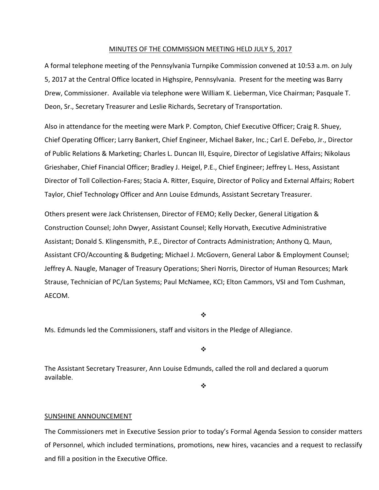#### MINUTES OF THE COMMISSION MEETING HELD JULY 5, 2017

A formal telephone meeting of the Pennsylvania Turnpike Commission convened at 10:53 a.m. on July 5, 2017 at the Central Office located in Highspire, Pennsylvania. Present for the meeting was Barry Drew, Commissioner. Available via telephone were William K. Lieberman, Vice Chairman; Pasquale T. Deon, Sr., Secretary Treasurer and Leslie Richards, Secretary of Transportation.

Also in attendance for the meeting were Mark P. Compton, Chief Executive Officer; Craig R. Shuey, Chief Operating Officer; Larry Bankert, Chief Engineer, Michael Baker, Inc.; Carl E. DeFebo, Jr., Director of Public Relations & Marketing; Charles L. Duncan III, Esquire, Director of Legislative Affairs; Nikolaus Grieshaber, Chief Financial Officer; Bradley J. Heigel, P.E., Chief Engineer; Jeffrey L. Hess, Assistant Director of Toll Collection‐Fares; Stacia A. Ritter, Esquire, Director of Policy and External Affairs; Robert Taylor, Chief Technology Officer and Ann Louise Edmunds, Assistant Secretary Treasurer.

Others present were Jack Christensen, Director of FEMO; Kelly Decker, General Litigation & Construction Counsel; John Dwyer, Assistant Counsel; Kelly Horvath, Executive Administrative Assistant; Donald S. Klingensmith, P.E., Director of Contracts Administration; Anthony Q. Maun, Assistant CFO/Accounting & Budgeting; Michael J. McGovern, General Labor & Employment Counsel; Jeffrey A. Naugle, Manager of Treasury Operations; Sheri Norris, Director of Human Resources; Mark Strause, Technician of PC/Lan Systems; Paul McNamee, KCI; Elton Cammors, VSI and Tom Cushman, AECOM.

❖

Ms. Edmunds led the Commissioners, staff and visitors in the Pledge of Allegiance.

❖

The Assistant Secretary Treasurer, Ann Louise Edmunds, called the roll and declared a quorum available.

 $\frac{1}{2}$ 

#### SUNSHINE ANNOUNCEMENT

The Commissioners met in Executive Session prior to today's Formal Agenda Session to consider matters of Personnel, which included terminations, promotions, new hires, vacancies and a request to reclassify and fill a position in the Executive Office.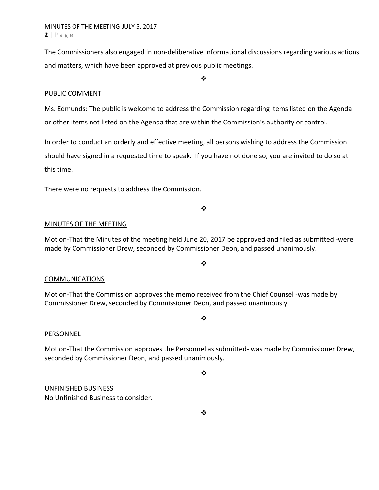The Commissioners also engaged in non‐deliberative informational discussions regarding various actions and matters, which have been approved at previous public meetings.

 $\frac{1}{2}$ 

# PUBLIC COMMENT

Ms. Edmunds: The public is welcome to address the Commission regarding items listed on the Agenda or other items not listed on the Agenda that are within the Commission's authority or control.

In order to conduct an orderly and effective meeting, all persons wishing to address the Commission should have signed in a requested time to speak. If you have not done so, you are invited to do so at this time.

There were no requests to address the Commission.

# MINUTES OF THE MEETING

Motion‐That the Minutes of the meeting held June 20, 2017 be approved and filed as submitted ‐were made by Commissioner Drew, seconded by Commissioner Deon, and passed unanimously.

 $\bullet^{\bullet}_{\bullet} \bullet$ 

 $\frac{1}{2}$ 

### COMMUNICATIONS

Motion‐That the Commission approves the memo received from the Chief Counsel ‐was made by Commissioner Drew, seconded by Commissioner Deon, and passed unanimously.

### PERSONNEL

Motion‐That the Commission approves the Personnel as submitted‐ was made by Commissioner Drew, seconded by Commissioner Deon, and passed unanimously.

❖

 $\frac{1}{2}$ 

UNFINISHED BUSINESS No Unfinished Business to consider.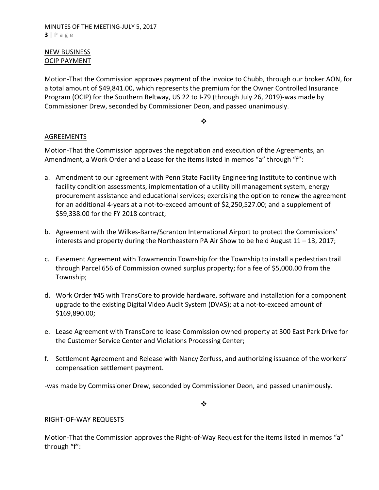# NEW BUSINESS OCIP PAYMENT

Motion‐That the Commission approves payment of the invoice to Chubb, through our broker AON, for a total amount of \$49,841.00, which represents the premium for the Owner Controlled Insurance Program (OCIP) for the Southern Beltway, US 22 to I‐79 (through July 26, 2019)‐was made by Commissioner Drew, seconded by Commissioner Deon, and passed unanimously.

#### ❖

# **AGREEMENTS**

Motion‐That the Commission approves the negotiation and execution of the Agreements, an Amendment, a Work Order and a Lease for the items listed in memos "a" through "f":

- a. Amendment to our agreement with Penn State Facility Engineering Institute to continue with facility condition assessments, implementation of a utility bill management system, energy procurement assistance and educational services; exercising the option to renew the agreement for an additional 4-years at a not-to-exceed amount of \$2,250,527.00; and a supplement of \$59,338.00 for the FY 2018 contract;
- b. Agreement with the Wilkes‐Barre/Scranton International Airport to protect the Commissions' interests and property during the Northeastern PA Air Show to be held August 11 – 13, 2017;
- c. Easement Agreement with Towamencin Township for the Township to install a pedestrian trail through Parcel 656 of Commission owned surplus property; for a fee of \$5,000.00 from the Township;
- d. Work Order #45 with TransCore to provide hardware, software and installation for a component upgrade to the existing Digital Video Audit System (DVAS); at a not‐to‐exceed amount of \$169,890.00;
- e. Lease Agreement with TransCore to lease Commission owned property at 300 East Park Drive for the Customer Service Center and Violations Processing Center;
- f. Settlement Agreement and Release with Nancy Zerfuss, and authorizing issuance of the workers' compensation settlement payment.

‐was made by Commissioner Drew, seconded by Commissioner Deon, and passed unanimously.

 $\frac{1}{2}$ 

# RIGHT‐OF‐WAY REQUESTS

Motion-That the Commission approves the Right-of-Way Request for the items listed in memos "a" through "f":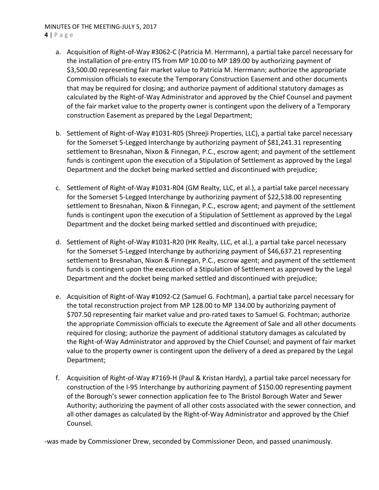### MINUTES OF THE MEETING‐JULY 5, 2017

#### **4** | Page

- a. Acquisition of Right-of-Way #3062-C (Patricia M. Herrmann), a partial take parcel necessary for the installation of pre‐entry ITS from MP 10.00 to MP 189.00 by authorizing payment of \$3,500.00 representing fair market value to Patricia M. Herrmann; authorize the appropriate Commission officials to execute the Temporary Construction Easement and other documents that may be required for closing; and authorize payment of additional statutory damages as calculated by the Right‐of‐Way Administrator and approved by the Chief Counsel and payment of the fair market value to the property owner is contingent upon the delivery of a Temporary construction Easement as prepared by the Legal Department;
- b. Settlement of Right‐of‐Way #1031‐R05 (Shreeji Properties, LLC), a partial take parcel necessary for the Somerset 5‐Legged Interchange by authorizing payment of \$81,241.31 representing settlement to Bresnahan, Nixon & Finnegan, P.C., escrow agent; and payment of the settlement funds is contingent upon the execution of a Stipulation of Settlement as approved by the Legal Department and the docket being marked settled and discontinued with prejudice;
- c. Settlement of Right‐of‐Way #1031‐R04 (GM Realty, LLC, et al.), a partial take parcel necessary for the Somerset 5‐Legged Interchange by authorizing payment of \$22,538.00 representing settlement to Bresnahan, Nixon & Finnegan, P.C., escrow agent; and payment of the settlement funds is contingent upon the execution of a Stipulation of Settlement as approved by the Legal Department and the docket being marked settled and discontinued with prejudice;
- d. Settlement of Right‐of‐Way #1031‐R20 (HK Realty, LLC, et al.), a partial take parcel necessary for the Somerset 5‐Legged Interchange by authorizing payment of \$46,637.21 representing settlement to Bresnahan, Nixon & Finnegan, P.C., escrow agent; and payment of the settlement funds is contingent upon the execution of a Stipulation of Settlement as approved by the Legal Department and the docket being marked settled and discontinued with prejudice;
- e. Acquisition of Right‐of‐Way #1092‐C2 (Samuel G. Fochtman), a partial take parcel necessary for the total reconstruction project from MP 128.00 to MP 134.00 by authorizing payment of \$707.50 representing fair market value and pro-rated taxes to Samuel G. Fochtman; authorize the appropriate Commission officials to execute the Agreement of Sale and all other documents required for closing; authorize the payment of additional statutory damages as calculated by the Right‐of‐Way Administrator and approved by the Chief Counsel; and payment of fair market value to the property owner is contingent upon the delivery of a deed as prepared by the Legal Department;
- f. Acquisition of Right‐of‐Way #7169‐H (Paul & Kristan Hardy), a partial take parcel necessary for construction of the I‐95 Interchange by authorizing payment of \$150.00 representing payment of the Borough's sewer connection application fee to The Bristol Borough Water and Sewer Authority; authorizing the payment of all other costs associated with the sewer connection, and all other damages as calculated by the Right‐of‐Way Administrator and approved by the Chief Counsel.

‐was made by Commissioner Drew, seconded by Commissioner Deon, and passed unanimously.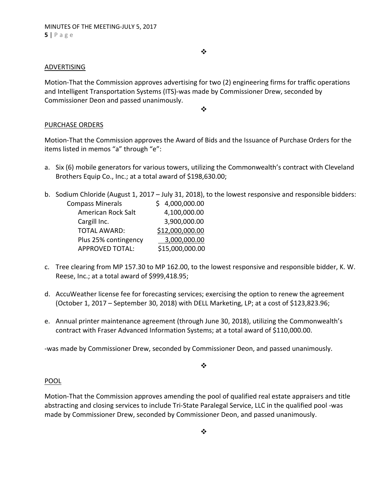#### $\bullet \bullet$

## ADVERTISING

Motion‐That the Commission approves advertising for two (2) engineering firms for traffic operations and Intelligent Transportation Systems (ITS)‐was made by Commissioner Drew, seconded by Commissioner Deon and passed unanimously.

 $\cdot$ 

## PURCHASE ORDERS

Motion‐That the Commission approves the Award of Bids and the Issuance of Purchase Orders for the items listed in memos "a" through "e":

- a. Six (6) mobile generators for various towers, utilizing the Commonwealth's contract with Cleveland Brothers Equip Co., Inc.; at a total award of \$198,630.00;
- b. Sodium Chloride (August 1, 2017 July 31, 2018), to the lowest responsive and responsible bidders:

| <b>Compass Minerals</b> | 4,000,000.00    |
|-------------------------|-----------------|
| American Rock Salt      | 4,100,000.00    |
| Cargill Inc.            | 3,900,000.00    |
| <b>TOTAL AWARD:</b>     | \$12,000,000.00 |
| Plus 25% contingency    | 3,000,000.00    |
| <b>APPROVED TOTAL:</b>  | \$15,000,000.00 |

- c. Tree clearing from MP 157.30 to MP 162.00, to the lowest responsive and responsible bidder, K. W. Reese, Inc.; at a total award of \$999,418.95;
- d. AccuWeather license fee for forecasting services; exercising the option to renew the agreement (October 1, 2017 – September 30, 2018) with DELL Marketing, LP; at a cost of \$123,823.96;
- e. Annual printer maintenance agreement (through June 30, 2018), utilizing the Commonwealth's contract with Fraser Advanced Information Systems; at a total award of \$110,000.00.

‐was made by Commissioner Drew, seconded by Commissioner Deon, and passed unanimously.

❖

### POOL

Motion‐That the Commission approves amending the pool of qualified real estate appraisers and title abstracting and closing services to include Tri‐State Paralegal Service, LLC in the qualified pool ‐was made by Commissioner Drew, seconded by Commissioner Deon, and passed unanimously.